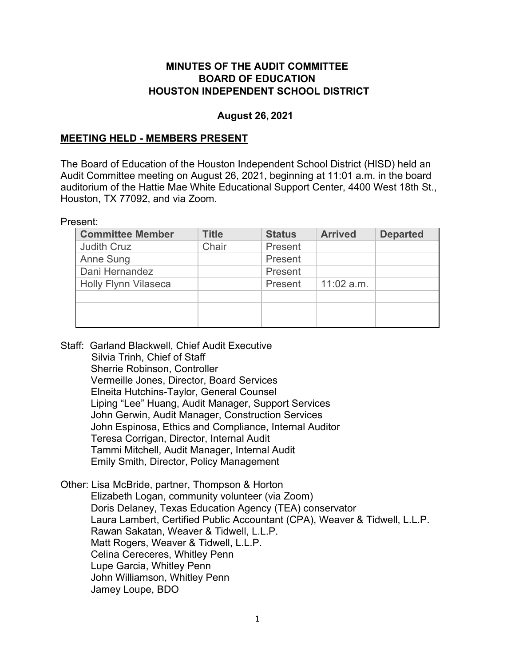#### **MINUTES OF THE AUDIT COMMITTEE BOARD OF EDUCATION HOUSTON INDEPENDENT SCHOOL DISTRICT**

#### **August 26, 2021**

#### **MEETING HELD - MEMBERS PRESENT**

The Board of Education of the Houston Independent School District (HISD) held an Audit Committee meeting on August 26, 2021, beginning at 11:01 a.m. in the board auditorium of the Hattie Mae White Educational Support Center, 4400 West 18th St., Houston, TX 77092, and via Zoom.

Present:

| <b>Committee Member</b>     | <b>Title</b> | <b>Status</b> | <b>Arrived</b> | <b>Departed</b> |
|-----------------------------|--------------|---------------|----------------|-----------------|
| <b>Judith Cruz</b>          | Chair        | Present       |                |                 |
| Anne Sung                   |              | Present       |                |                 |
| Dani Hernandez              |              | Present       |                |                 |
| <b>Holly Flynn Vilaseca</b> |              | Present       | $11:02$ a.m.   |                 |
|                             |              |               |                |                 |
|                             |              |               |                |                 |
|                             |              |               |                |                 |

Staff: Garland Blackwell, Chief Audit Executive Silvia Trinh, Chief of Staff Sherrie Robinson, Controller Vermeille Jones, Director, Board Services Elneita Hutchins-Taylor, General Counsel Liping "Lee" Huang, Audit Manager, Support Services John Gerwin, Audit Manager, Construction Services John Espinosa, Ethics and Compliance, Internal Auditor Teresa Corrigan, Director, Internal Audit Tammi Mitchell, Audit Manager, Internal Audit Emily Smith, Director, Policy Management

Other: Lisa McBride, partner, Thompson & Horton Elizabeth Logan, community volunteer (via Zoom) Doris Delaney, Texas Education Agency (TEA) conservator Laura Lambert, Certified Public Accountant (CPA), Weaver & Tidwell, L.L.P. Rawan Sakatan, Weaver & Tidwell, L.L.P. Matt Rogers, Weaver & Tidwell, L.L.P. Celina Cereceres, Whitley Penn Lupe Garcia, Whitley Penn John Williamson, Whitley Penn Jamey Loupe, BDO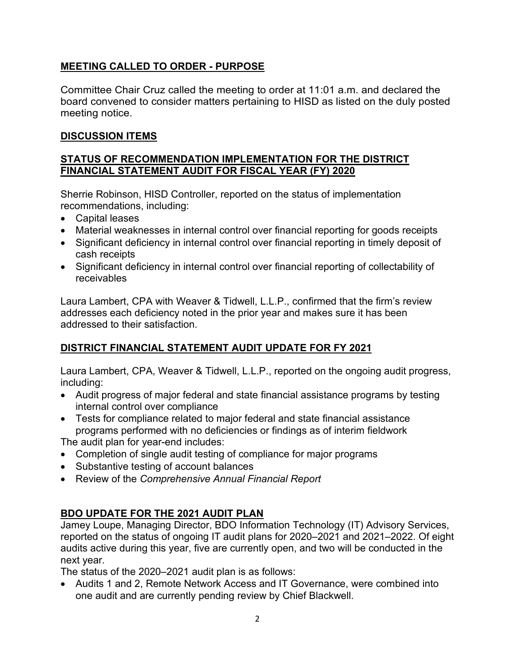### **MEETING CALLED TO ORDER - PURPOSE**

Committee Chair Cruz called the meeting to order at 11:01 a.m. and declared the board convened to consider matters pertaining to HISD as listed on the duly posted meeting notice.

### **DISCUSSION ITEMS**

#### **STATUS OF RECOMMENDATION IMPLEMENTATION FOR THE DISTRICT FINANCIAL STATEMENT AUDIT FOR FISCAL YEAR (FY) 2020**

Sherrie Robinson, HISD Controller, reported on the status of implementation recommendations, including:

- Capital leases
- Material weaknesses in internal control over financial reporting for goods receipts
- Significant deficiency in internal control over financial reporting in timely deposit of cash receipts
- Significant deficiency in internal control over financial reporting of collectability of receivables

Laura Lambert, CPA with Weaver & Tidwell, L.L.P., confirmed that the firm's review addresses each deficiency noted in the prior year and makes sure it has been addressed to their satisfaction.

## **DISTRICT FINANCIAL STATEMENT AUDIT UPDATE FOR FY 2021**

Laura Lambert, CPA, Weaver & Tidwell, L.L.P., reported on the ongoing audit progress, including:

- Audit progress of major federal and state financial assistance programs by testing internal control over compliance
- Tests for compliance related to major federal and state financial assistance programs performed with no deficiencies or findings as of interim fieldwork

The audit plan for year-end includes:

- Completion of single audit testing of compliance for major programs
- Substantive testing of account balances
- Review of the *Comprehensive Annual Financial Report*

## **BDO UPDATE FOR THE 2021 AUDIT PLAN**

Jamey Loupe, Managing Director, BDO Information Technology (IT) Advisory Services, reported on the status of ongoing IT audit plans for 2020–2021 and 2021–2022. Of eight audits active during this year, five are currently open, and two will be conducted in the next year.

The status of the 2020–2021 audit plan is as follows:

• Audits 1 and 2, Remote Network Access and IT Governance, were combined into one audit and are currently pending review by Chief Blackwell.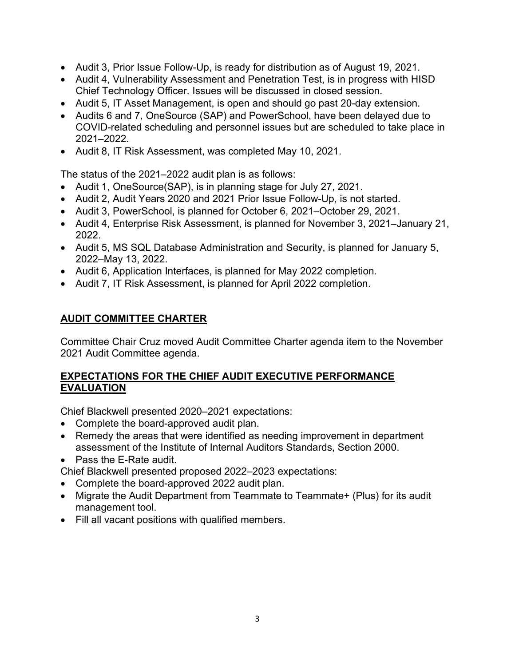- Audit 3, Prior Issue Follow-Up, is ready for distribution as of August 19, 2021.
- Audit 4, Vulnerability Assessment and Penetration Test, is in progress with HISD Chief Technology Officer. Issues will be discussed in closed session.
- Audit 5, IT Asset Management, is open and should go past 20-day extension.
- Audits 6 and 7, OneSource (SAP) and PowerSchool, have been delayed due to COVID-related scheduling and personnel issues but are scheduled to take place in 2021–2022.
- Audit 8, IT Risk Assessment, was completed May 10, 2021.

The status of the 2021–2022 audit plan is as follows:

- Audit 1, OneSource(SAP), is in planning stage for July 27, 2021.
- Audit 2, Audit Years 2020 and 2021 Prior Issue Follow-Up, is not started.
- Audit 3, PowerSchool, is planned for October 6, 2021–October 29, 2021.
- Audit 4, Enterprise Risk Assessment, is planned for November 3, 2021–January 21, 2022.
- Audit 5, MS SQL Database Administration and Security, is planned for January 5, 2022–May 13, 2022.
- Audit 6, Application Interfaces, is planned for May 2022 completion.
- Audit 7, IT Risk Assessment, is planned for April 2022 completion.

#### **AUDIT COMMITTEE CHARTER**

Committee Chair Cruz moved Audit Committee Charter agenda item to the November 2021 Audit Committee agenda.

#### **EXPECTATIONS FOR THE CHIEF AUDIT EXECUTIVE PERFORMANCE EVALUATION**

Chief Blackwell presented 2020–2021 expectations:

- Complete the board-approved audit plan.
- Remedy the areas that were identified as needing improvement in department assessment of the Institute of Internal Auditors Standards, Section 2000.
- Pass the E-Rate audit.
- Chief Blackwell presented proposed 2022–2023 expectations:
- Complete the board-approved 2022 audit plan.
- Migrate the Audit Department from Teammate to Teammate+ (Plus) for its audit management tool.
- Fill all vacant positions with qualified members.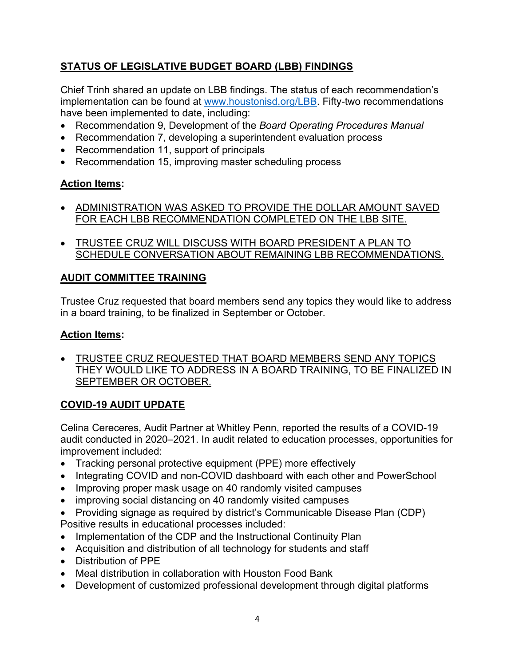# **STATUS OF LEGISLATIVE BUDGET BOARD (LBB) FINDINGS**

Chief Trinh shared an update on LBB findings. The status of each recommendation's implementation can be found at [www.houstonisd.org/LBB.](http://www.houstonisd.org/LBB) Fifty-two recommendations have been implemented to date, including:

- Recommendation 9, Development of the *Board Operating Procedures Manual*
- Recommendation 7, developing a superintendent evaluation process
- Recommendation 11, support of principals
- Recommendation 15, improving master scheduling process

### **Action Items:**

- ADMINISTRATION WAS ASKED TO PROVIDE THE DOLLAR AMOUNT SAVED FOR EACH LBB RECOMMENDATION COMPLETED ON THE LBB SITE.
- TRUSTEE CRUZ WILL DISCUSS WITH BOARD PRESIDENT A PLAN TO SCHEDULE CONVERSATION ABOUT REMAINING LBB RECOMMENDATIONS.

### **AUDIT COMMITTEE TRAINING**

Trustee Cruz requested that board members send any topics they would like to address in a board training, to be finalized in September or October.

#### **Action Items:**

• TRUSTEE CRUZ REQUESTED THAT BOARD MEMBERS SEND ANY TOPICS THEY WOULD LIKE TO ADDRESS IN A BOARD TRAINING, TO BE FINALIZED IN SEPTEMBER OR OCTOBER.

## **COVID-19 AUDIT UPDATE**

Celina Cereceres, Audit Partner at Whitley Penn, reported the results of a COVID-19 audit conducted in 2020–2021. In audit related to education processes, opportunities for improvement included:

- Tracking personal protective equipment (PPE) more effectively
- Integrating COVID and non-COVID dashboard with each other and PowerSchool
- Improving proper mask usage on 40 randomly visited campuses
- improving social distancing on 40 randomly visited campuses
- Providing signage as required by district's Communicable Disease Plan (CDP) Positive results in educational processes included:
- Implementation of the CDP and the Instructional Continuity Plan
- Acquisition and distribution of all technology for students and staff
- Distribution of PPE
- Meal distribution in collaboration with Houston Food Bank
- Development of customized professional development through digital platforms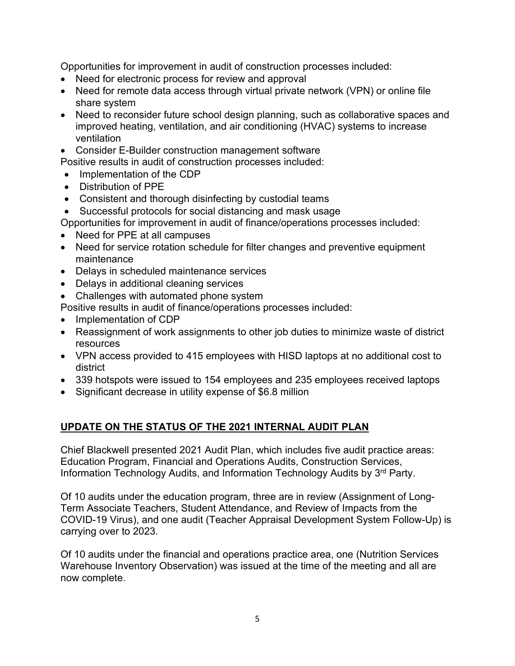Opportunities for improvement in audit of construction processes included:

- Need for electronic process for review and approval
- Need for remote data access through virtual private network (VPN) or online file share system
- Need to reconsider future school design planning, such as collaborative spaces and improved heating, ventilation, and air conditioning (HVAC) systems to increase ventilation
- Consider E-Builder construction management software

Positive results in audit of construction processes included:

- Implementation of the CDP
- Distribution of PPE
- Consistent and thorough disinfecting by custodial teams
- Successful protocols for social distancing and mask usage

Opportunities for improvement in audit of finance/operations processes included:

- Need for PPE at all campuses
- Need for service rotation schedule for filter changes and preventive equipment maintenance
- Delays in scheduled maintenance services
- Delays in additional cleaning services
- Challenges with automated phone system

Positive results in audit of finance/operations processes included:

- Implementation of CDP
- Reassignment of work assignments to other job duties to minimize waste of district resources
- VPN access provided to 415 employees with HISD laptops at no additional cost to district
- 339 hotspots were issued to 154 employees and 235 employees received laptops
- Significant decrease in utility expense of \$6.8 million

## **UPDATE ON THE STATUS OF THE 2021 INTERNAL AUDIT PLAN**

Chief Blackwell presented 2021 Audit Plan, which includes five audit practice areas: Education Program, Financial and Operations Audits, Construction Services, Information Technology Audits, and Information Technology Audits by 3rd Party.

Of 10 audits under the education program, three are in review (Assignment of Long-Term Associate Teachers, Student Attendance, and Review of Impacts from the COVID-19 Virus), and one audit (Teacher Appraisal Development System Follow-Up) is carrying over to 2023.

Of 10 audits under the financial and operations practice area, one (Nutrition Services Warehouse Inventory Observation) was issued at the time of the meeting and all are now complete.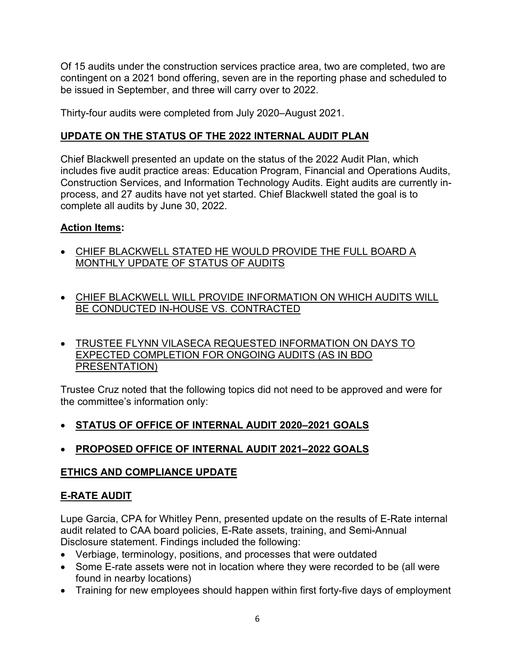Of 15 audits under the construction services practice area, two are completed, two are contingent on a 2021 bond offering, seven are in the reporting phase and scheduled to be issued in September, and three will carry over to 2022.

Thirty-four audits were completed from July 2020–August 2021.

### **UPDATE ON THE STATUS OF THE 2022 INTERNAL AUDIT PLAN**

Chief Blackwell presented an update on the status of the 2022 Audit Plan, which includes five audit practice areas: Education Program, Financial and Operations Audits, Construction Services, and Information Technology Audits. Eight audits are currently inprocess, and 27 audits have not yet started. Chief Blackwell stated the goal is to complete all audits by June 30, 2022.

### **Action Items:**

- CHIEF BLACKWELL STATED HE WOULD PROVIDE THE FULL BOARD A MONTHLY UPDATE OF STATUS OF AUDITS
- CHIEF BLACKWELL WILL PROVIDE INFORMATION ON WHICH AUDITS WILL BE CONDUCTED IN-HOUSE VS. CONTRACTED
- TRUSTEE FLYNN VILASECA REQUESTED INFORMATION ON DAYS TO EXPECTED COMPLETION FOR ONGOING AUDITS (AS IN BDO PRESENTATION)

Trustee Cruz noted that the following topics did not need to be approved and were for the committee's information only:

## • **STATUS OF OFFICE OF INTERNAL AUDIT 2020–2021 GOALS**

## • **PROPOSED OFFICE OF INTERNAL AUDIT 2021–2022 GOALS**

#### **ETHICS AND COMPLIANCE UPDATE**

## **E-RATE AUDIT**

Lupe Garcia, CPA for Whitley Penn, presented update on the results of E-Rate internal audit related to CAA board policies, E-Rate assets, training, and Semi-Annual Disclosure statement. Findings included the following:

- Verbiage, terminology, positions, and processes that were outdated
- Some E-rate assets were not in location where they were recorded to be (all were found in nearby locations)
- Training for new employees should happen within first forty-five days of employment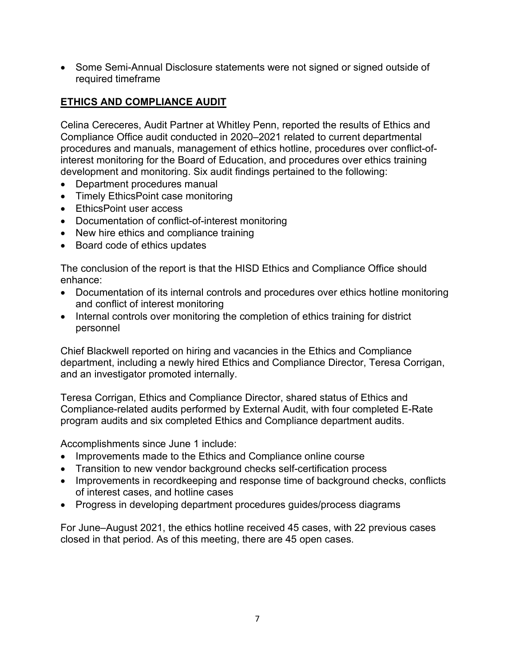• Some Semi-Annual Disclosure statements were not signed or signed outside of required timeframe

## **ETHICS AND COMPLIANCE AUDIT**

Celina Cereceres, Audit Partner at Whitley Penn, reported the results of Ethics and Compliance Office audit conducted in 2020–2021 related to current departmental procedures and manuals, management of ethics hotline, procedures over conflict-ofinterest monitoring for the Board of Education, and procedures over ethics training development and monitoring. Six audit findings pertained to the following:

- Department procedures manual
- Timely EthicsPoint case monitoring
- EthicsPoint user access
- Documentation of conflict-of-interest monitoring
- New hire ethics and compliance training
- Board code of ethics updates

The conclusion of the report is that the HISD Ethics and Compliance Office should enhance:

- Documentation of its internal controls and procedures over ethics hotline monitoring and conflict of interest monitoring
- Internal controls over monitoring the completion of ethics training for district personnel

Chief Blackwell reported on hiring and vacancies in the Ethics and Compliance department, including a newly hired Ethics and Compliance Director, Teresa Corrigan, and an investigator promoted internally.

Teresa Corrigan, Ethics and Compliance Director, shared status of Ethics and Compliance-related audits performed by External Audit, with four completed E-Rate program audits and six completed Ethics and Compliance department audits.

Accomplishments since June 1 include:

- Improvements made to the Ethics and Compliance online course
- Transition to new vendor background checks self-certification process
- Improvements in recordkeeping and response time of background checks, conflicts of interest cases, and hotline cases
- Progress in developing department procedures guides/process diagrams

For June–August 2021, the ethics hotline received 45 cases, with 22 previous cases closed in that period. As of this meeting, there are 45 open cases.